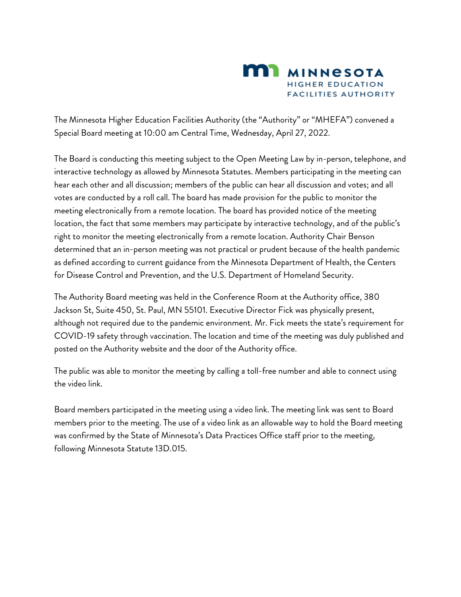

The Minnesota Higher Education Facilities Authority (the "Authority" or "MHEFA") convened a Special Board meeting at 10:00 am Central Time, Wednesday, April 27, 2022.

The Board is conducting this meeting subject to the Open Meeting Law by in-person, telephone, and interactive technology as allowed by Minnesota Statutes. Members participating in the meeting can hear each other and all discussion; members of the public can hear all discussion and votes; and all votes are conducted by a roll call. The board has made provision for the public to monitor the meeting electronically from a remote location. The board has provided notice of the meeting location, the fact that some members may participate by interactive technology, and of the public's right to monitor the meeting electronically from a remote location. Authority Chair Benson determined that an in-person meeting was not practical or prudent because of the health pandemic as defined according to current guidance from the Minnesota Department of Health, the Centers for Disease Control and Prevention, and the U.S. Department of Homeland Security.

The Authority Board meeting was held in the Conference Room at the Authority office, 380 Jackson St, Suite 450, St. Paul, MN 55101. Executive Director Fick was physically present, although not required due to the pandemic environment. Mr. Fick meets the state's requirement for COVID-19 safety through vaccination. The location and time of the meeting was duly published and posted on the Authority website and the door of the Authority office.

The public was able to monitor the meeting by calling a toll-free number and able to connect using the video link.

Board members participated in the meeting using a video link. The meeting link was sent to Board members prior to the meeting. The use of a video link as an allowable way to hold the Board meeting was confirmed by the State of Minnesota's Data Practices Office staff prior to the meeting, following Minnesota Statute 13D.015.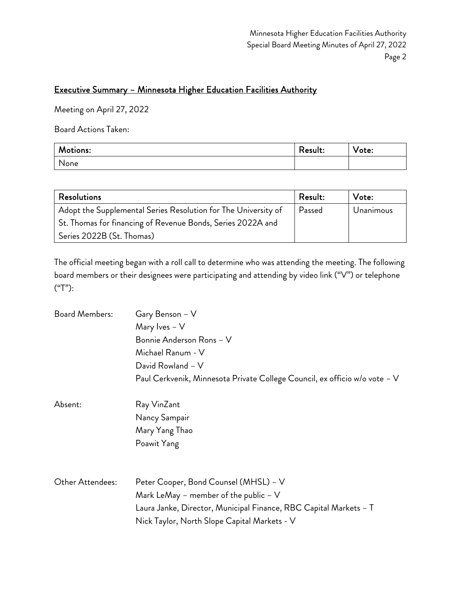### Executive Summary – Minnesota Higher Education Facilities Authority

Meeting on April 27, 2022

Board Actions Taken:

| Motions: | Result: | $\mathbf{v}$<br>Vote: |
|----------|---------|-----------------------|
| None     |         |                       |

| <b>Resolutions</b>                                             | Result: | Vote:     |
|----------------------------------------------------------------|---------|-----------|
| Adopt the Supplemental Series Resolution for The University of | Passed  | Unanimous |
| St. Thomas for financing of Revenue Bonds, Series 2022A and    |         |           |
| Series 2022B (St. Thomas)                                      |         |           |

The official meeting began with a roll call to determine who was attending the meeting. The following board members or their designees were participating and attending by video link ("V") or telephone ("T"):

| <b>Board Members:</b> | Gary Benson - V                                                            |
|-----------------------|----------------------------------------------------------------------------|
|                       | Mary Ives $- V$                                                            |
|                       | Bonnie Anderson Rons - V                                                   |
|                       | Michael Ranum - V                                                          |
|                       | David Rowland - V                                                          |
|                       | Paul Cerkvenik, Minnesota Private College Council, ex officio w/o vote – V |
| Absent:               | Ray VinZant                                                                |
|                       | Nancy Sampair                                                              |
|                       | Mary Yang Thao                                                             |
|                       | Poawit Yang                                                                |
|                       |                                                                            |
| Other Attendees:      | Peter Cooper, Bond Counsel (MHSL) - V                                      |
|                       | Mark LeMay - member of the public $-V$                                     |
|                       | Laura Janke, Director, Municipal Finance, RBC Capital Markets - T          |
|                       | Nick Taylor, North Slope Capital Markets - V                               |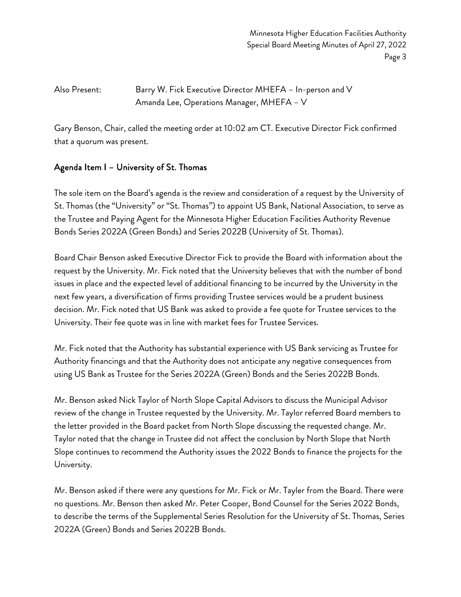Minnesota Higher Education Facilities Authority Special Board Meeting Minutes of April 27, 2022 Page 3

Also Present: Barry W. Fick Executive Director MHEFA – In-person and V Amanda Lee, Operations Manager, MHEFA – V

Gary Benson, Chair, called the meeting order at 10:02 am CT. Executive Director Fick confirmed that a quorum was present.

#### Agenda Item I – University of St. Thomas

The sole item on the Board's agenda is the review and consideration of a request by the University of St. Thomas (the "University" or "St. Thomas") to appoint US Bank, National Association, to serve as the Trustee and Paying Agent for the Minnesota Higher Education Facilities Authority Revenue Bonds Series 2022A (Green Bonds) and Series 2022B (University of St. Thomas).

Board Chair Benson asked Executive Director Fick to provide the Board with information about the request by the University. Mr. Fick noted that the University believes that with the number of bond issues in place and the expected level of additional financing to be incurred by the University in the next few years, a diversification of firms providing Trustee services would be a prudent business decision. Mr. Fick noted that US Bank was asked to provide a fee quote for Trustee services to the University. Their fee quote was in line with market fees for Trustee Services.

Mr. Fick noted that the Authority has substantial experience with US Bank servicing as Trustee for Authority financings and that the Authority does not anticipate any negative consequences from using US Bank as Trustee for the Series 2022A (Green) Bonds and the Series 2022B Bonds.

Mr. Benson asked Nick Taylor of North Slope Capital Advisors to discuss the Municipal Advisor review of the change in Trustee requested by the University. Mr. Taylor referred Board members to the letter provided in the Board packet from North Slope discussing the requested change. Mr. Taylor noted that the change in Trustee did not affect the conclusion by North Slope that North Slope continues to recommend the Authority issues the 2022 Bonds to finance the projects for the University.

Mr. Benson asked if there were any questions for Mr. Fick or Mr. Tayler from the Board. There were no questions. Mr. Benson then asked Mr. Peter Cooper, Bond Counsel for the Series 2022 Bonds, to describe the terms of the Supplemental Series Resolution for the University of St. Thomas, Series 2022A (Green) Bonds and Series 2022B Bonds.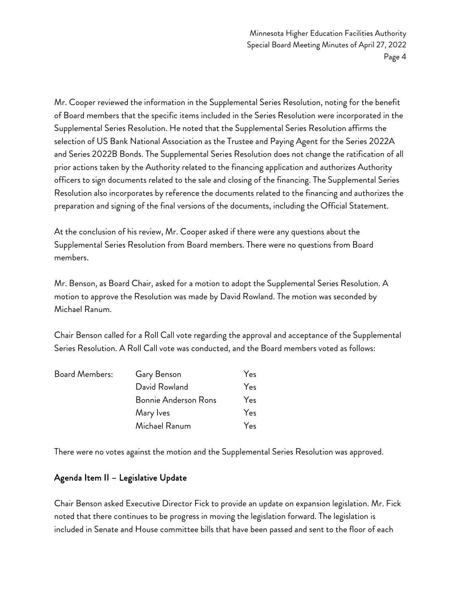Minnesota Higher Education Facilities Authority Special Board Meeting Minutes of April 27, 2022 Page 4

Mr. Cooper reviewed the information in the Supplemental Series Resolution, noting for the benefit of Board members that the specific items included in the Series Resolution were incorporated in the Supplemental Series Resolution. He noted that the Supplemental Series Resolution affirms the selection of US Bank National Association as the Trustee and Paying Agent for the Series 2022A and Series 2022B Bonds. The Supplemental Series Resolution does not change the ratification of all prior actions taken by the Authority related to the financing application and authorizes Authority officers to sign documents related to the sale and closing of the financing. The Supplemental Series Resolution also incorporates by reference the documents related to the financing and authorizes the preparation and signing of the final versions of the documents, including the Official Statement.

At the conclusion of his review, Mr. Cooper asked if there were any questions about the Supplemental Series Resolution from Board members. There were no questions from Board members.

Mr. Benson, as Board Chair, asked for a motion to adopt the Supplemental Series Resolution. A motion to approve the Resolution was made by David Rowland. The motion was seconded by Michael Ranum.

Chair Benson called for a Roll Call vote regarding the approval and acceptance of the Supplemental Series Resolution. A Roll Call vote was conducted, and the Board members voted as follows:

| Board Members: | Gary Benson                 | Yes |
|----------------|-----------------------------|-----|
|                | David Rowland               | Yes |
|                | <b>Bonnie Anderson Rons</b> | Yes |
|                | Mary Ives                   | Yes |
|                | Michael Ranum               | Yes |

There were no votes against the motion and the Supplemental Series Resolution was approved.

#### Agenda Item II – Legislative Update

Chair Benson asked Executive Director Fick to provide an update on expansion legislation. Mr. Fick noted that there continues to be progress in moving the legislation forward. The legislation is included in Senate and House committee bills that have been passed and sent to the floor of each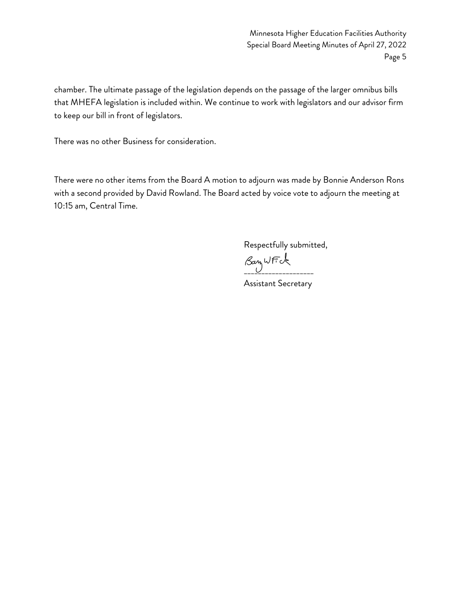Minnesota Higher Education Facilities Authority Special Board Meeting Minutes of April 27, 2022 Page 5

chamber. The ultimate passage of the legislation depends on the passage of the larger omnibus bills that MHEFA legislation is included within. We continue to work with legislators and our advisor firm to keep our bill in front of legislators.

There was no other Business for consideration.

There were no other items from the Board A motion to adjourn was made by Bonnie Anderson Rons with a second provided by David Rowland. The Board acted by voice vote to adjourn the meeting at 10:15 am, Central Time.

Respectfully submitted,

 $\beta$ an WFK

Assistant Secretary